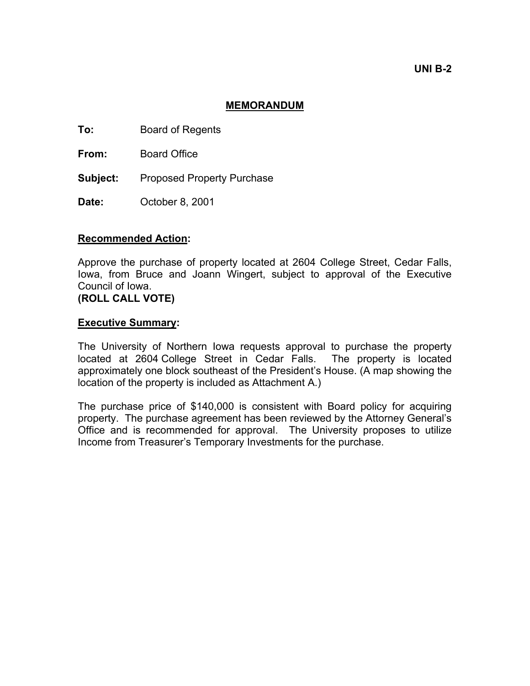**UNI B-2** 

## **MEMORANDUM**

**To:** Board of Regents

**From:** Board Office

Subject: Proposed Property Purchase

**Date:** October 8, 2001

## **Recommended Action:**

Approve the purchase of property located at 2604 College Street, Cedar Falls, Iowa, from Bruce and Joann Wingert, subject to approval of the Executive Council of Iowa.

**(ROLL CALL VOTE)** 

## **Executive Summary:**

The University of Northern Iowa requests approval to purchase the property located at 2604 College Street in Cedar Falls. The property is located approximately one block southeast of the President's House. (A map showing the location of the property is included as Attachment A.)

The purchase price of \$140,000 is consistent with Board policy for acquiring property. The purchase agreement has been reviewed by the Attorney General's Office and is recommended for approval. The University proposes to utilize Income from Treasurer's Temporary Investments for the purchase.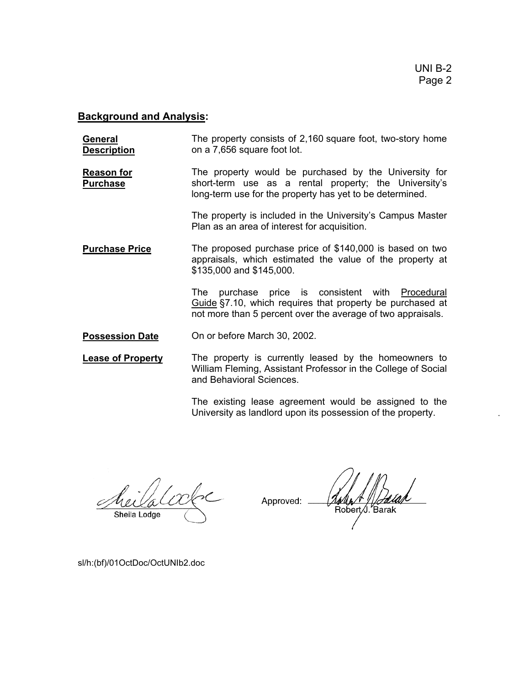## **Background and Analysis:**

| General            | The property consists of 2,160 square foot, two-story home |
|--------------------|------------------------------------------------------------|
| <b>Description</b> | on a 7,656 square foot lot.                                |

**Reason for Purchase** The property would be purchased by the University for short-term use as a rental property; the University's long-term use for the property has yet to be determined.

> The property is included in the University's Campus Master Plan as an area of interest for acquisition.

**Purchase Price** The proposed purchase price of \$140,000 is based on two appraisals, which estimated the value of the property at \$135,000 and \$145,000.

> The purchase price is consistent with Procedural Guide §7.10, which requires that property be purchased at not more than 5 percent over the average of two appraisals.

**Possession Date** On or before March 30, 2002.

**Lease of Property** The property is currently leased by the homeowners to William Fleming, Assistant Professor in the College of Social and Behavioral Sciences.

> The existing lease agreement would be assigned to the University as landlord upon its possession of the property.

Approved: Robert /J. Barak

sl/h:(bf)/01OctDoc/OctUNIb2.doc